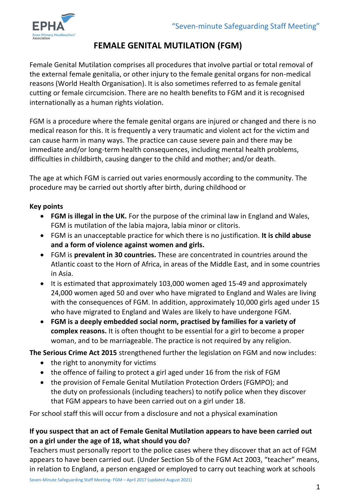

# **FEMALE GENITAL MUTILATION (FGM)**

Female Genital Mutilation comprises all procedures that involve partial or total removal of the external female genitalia, or other injury to the female genital organs for non-medical reasons (World Health Organisation). It is also sometimes referred to as female genital cutting or female circumcision. There are no health benefits to FGM and it is recognised internationally as a human rights violation.

FGM is a procedure where the female genital organs are injured or changed and there is no medical reason for this. It is frequently a very traumatic and violent act for the victim and can cause harm in many ways. The practice can cause severe pain and there may be immediate and/or long-term health consequences, including mental health problems, difficulties in childbirth, causing danger to the child and mother; and/or death.

The age at which FGM is carried out varies enormously according to the community. The procedure may be carried out shortly after birth, during childhood or

# **Key points**

- **FGM is illegal in the UK.** For the purpose of the criminal law in England and Wales, FGM is mutilation of the labia majora, labia minor or clitoris.
- FGM is an unacceptable practice for which there is no justification. **It is child abuse and a form of violence against women and girls.**
- FGM is **prevalent in 30 countries.** These are concentrated in countries around the Atlantic coast to the Horn of Africa, in areas of the Middle East, and in some countries in Asia.
- It is estimated that approximately 103,000 women aged 15-49 and approximately 24,000 women aged 50 and over who have migrated to England and Wales are living with the consequences of FGM. In addition, approximately 10,000 girls aged under 15 who have migrated to England and Wales are likely to have undergone FGM.
- **FGM is a deeply embedded social norm, practised by families for a variety of complex reasons.** It is often thought to be essential for a girl to become a proper woman, and to be marriageable. The practice is not required by any religion.

**The Serious Crime Act 2015** strengthened further the legislation on FGM and now includes:

- the right to anonymity for victims
- the offence of failing to protect a girl aged under 16 from the risk of FGM
- the provision of Female Genital Mutilation Protection Orders (FGMPO); and the duty on professionals (including teachers) to notify police when they discover that FGM appears to have been carried out on a girl under 18.

For school staff this will occur from a disclosure and not a physical examination

# **If you suspect that an act of Female Genital Mutilation appears to have been carried out on a girl under the age of 18, what should you do?**

Teachers must personally report to the police cases where they discover that an act of FGM appears to have been carried out. (Under Section 5b of the FGM Act 2003, "teacher" means, in relation to England, a person engaged or employed to carry out teaching work at schools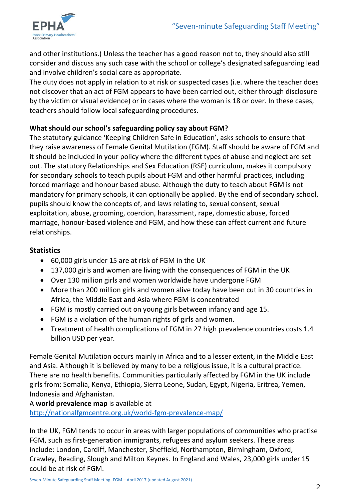

and other institutions.) Unless the teacher has a good reason not to, they should also still consider and discuss any such case with the school or college's designated safeguarding lead and involve children's social care as appropriate.

The duty does not apply in relation to at risk or suspected cases (i.e. where the teacher does not discover that an act of FGM appears to have been carried out, either through disclosure by the victim or visual evidence) or in cases where the woman is 18 or over. In these cases, teachers should follow local safeguarding procedures.

## **What should our school's safeguarding policy say about FGM?**

The statutory guidance 'Keeping Children Safe in Education', asks schools to ensure that they raise awareness of Female Genital Mutilation (FGM). Staff should be aware of FGM and it should be included in your policy where the different types of abuse and neglect are set out. The statutory Relationships and Sex Education (RSE) curriculum, makes it compulsory for secondary schools to teach pupils about FGM and other harmful practices, including forced marriage and honour based abuse. Although the duty to teach about FGM is not mandatory for primary schools, it can optionally be applied. By the end of secondary school, pupils should know the concepts of, and laws relating to, sexual consent, sexual exploitation, abuse, grooming, coercion, harassment, rape, domestic abuse, forced marriage, honour-based violence and FGM, and how these can affect current and future relationships.

# **Statistics**

- 60,000 girls under 15 are at risk of FGM in the UK
- 137,000 girls and women are living with the consequences of FGM in the UK
- Over 130 million girls and women worldwide have undergone FGM
- More than 200 million girls and women alive today have been cut in 30 countries in Africa, the Middle East and Asia where FGM is concentrated
- FGM is mostly carried out on young girls between infancy and age 15.
- FGM is a violation of the human rights of girls and women.
- Treatment of health complications of FGM in 27 high prevalence countries costs 1.4 billion USD per year.

Female Genital Mutilation occurs mainly in Africa and to a lesser extent, in the Middle East and Asia. Although it is believed by many to be a religious issue, it is a cultural practice. There are no health benefits. Communities particularly affected by FGM in the UK include girls from: Somalia, Kenya, Ethiopia, Sierra Leone, Sudan, Egypt, Nigeria, Eritrea, Yemen, Indonesia and Afghanistan.

# A **world prevalence map** is available at

<http://nationalfgmcentre.org.uk/world-fgm-prevalence-map/>

In the UK, FGM tends to occur in areas with larger populations of communities who practise FGM, such as first-generation immigrants, refugees and asylum seekers. These areas include: London, Cardiff, Manchester, Sheffield, Northampton, Birmingham, Oxford, Crawley, Reading, Slough and Milton Keynes. In England and Wales, 23,000 girls under 15 could be at risk of FGM.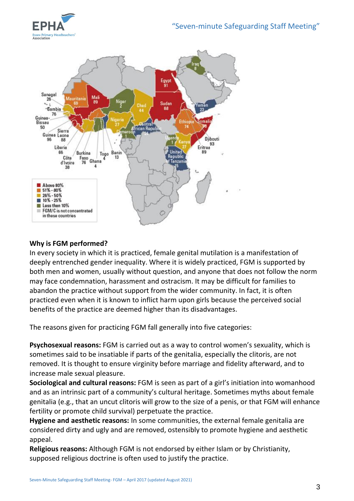



#### **Why is FGM performed?**

In every society in which it is practiced, female genital mutilation is a manifestation of deeply entrenched gender inequality. Where it is widely practiced, FGM is supported by both men and women, usually without question, and anyone that does not follow the norm may face condemnation, harassment and ostracism. It may be difficult for families to abandon the practice without support from the wider community. In fact, it is often practiced even when it is known to inflict harm upon girls because the perceived social benefits of the practice are deemed higher than its disadvantages.

The reasons given for practicing FGM fall generally into five categories:

**Psychosexual reasons:** FGM is carried out as a way to control women's sexuality, which is sometimes said to be insatiable if parts of the genitalia, especially the clitoris, are not removed. It is thought to ensure virginity before marriage and fidelity afterward, and to increase male sexual pleasure.

**Sociological and cultural reasons:** FGM is seen as part of a girl's initiation into womanhood and as an intrinsic part of a community's cultural heritage. Sometimes myths about female genitalia (e.g., that an uncut clitoris will grow to the size of a penis, or that FGM will enhance fertility or promote child survival) perpetuate the practice.

**Hygiene and aesthetic reasons:** In some communities, the external female genitalia are considered dirty and ugly and are removed, ostensibly to promote hygiene and aesthetic appeal.

**Religious reasons:** Although FGM is not endorsed by either Islam or by Christianity, supposed religious doctrine is often used to justify the practice.